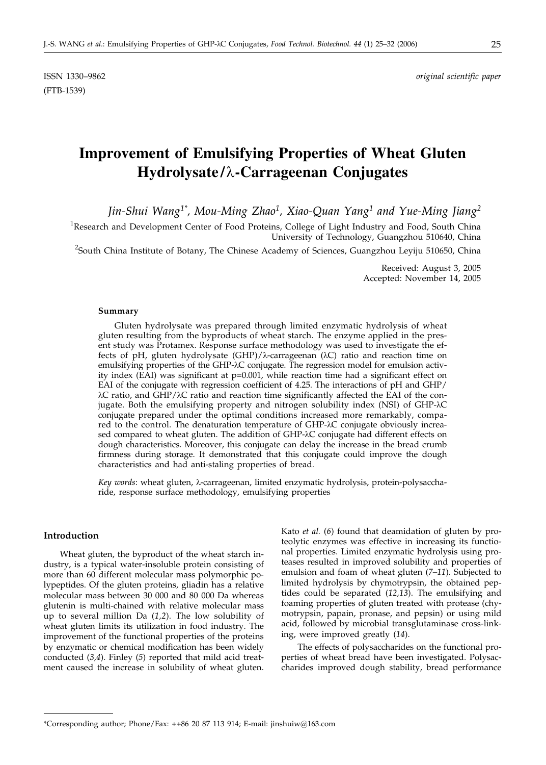(FTB-1539)

# **Improvement of Emulsifying Properties of Wheat Gluten Hydrolysate/-Carrageenan Conjugates**

*Jin-Shui Wang1\*, Mou-Ming Zhao1, Xiao-Quan Yang1 and Yue-Ming Jiang2*

<sup>1</sup>Research and Development Center of Food Proteins, College of Light Industry and Food, South China University of Technology, Guangzhou 510640, China

<sup>2</sup>South China Institute of Botany, The Chinese Academy of Sciences, Guangzhou Leyiju 510650, China

Received: August 3, 2005 Accepted: November 14, 2005

#### **Summary**

Gluten hydrolysate was prepared through limited enzymatic hydrolysis of wheat gluten resulting from the byproducts of wheat starch. The enzyme applied in the present study was Protamex. Response surface methodology was used to investigate the effects of pH, gluten hydrolysate (GHP)/ $\lambda$ -carrageenan ( $\lambda$ C) ratio and reaction time on emulsifying properties of the GHP- $\lambda$ C conjugate. The regression model for emulsion activity index (EAI) was significant at  $p=0.001$ , while reaction time had a significant effect on EAI of the conjugate with regression coefficient of 4.25. The interactions of pH and GHP/  $\lambda$ C ratio, and GHP/ $\lambda$ C ratio and reaction time significantly affected the EAI of the conjugate. Both the emulsifying property and nitrogen solubility index (NSI) of GHP- $\lambda$ C conjugate prepared under the optimal conditions increased more remarkably, compared to the control. The denaturation temperature of GHP- $\lambda$ C conjugate obviously increased compared to wheat gluten. The addition of GHP- $\lambda$ C conjugate had different effects on dough characteristics. Moreover, this conjugate can delay the increase in the bread crumb firmness during storage. It demonstrated that this conjugate could improve the dough characteristics and had anti-staling properties of bread.

Key words: wheat gluten, λ-carrageenan, limited enzymatic hydrolysis, protein-polysaccharide, response surface methodology, emulsifying properties

#### **Introduction**

Wheat gluten, the byproduct of the wheat starch industry, is a typical water-insoluble protein consisting of more than 60 different molecular mass polymorphic polypeptides. Of the gluten proteins, gliadin has a relative molecular mass between 30 000 and 80 000 Da whereas glutenin is multi-chained with relative molecular mass up to several million Da (*1,2*). The low solubility of wheat gluten limits its utilization in food industry. The improvement of the functional properties of the proteins by enzymatic or chemical modification has been widely conducted (*3,4*). Finley (*5*) reported that mild acid treatment caused the increase in solubility of wheat gluten.

Kato *et al.* (*6*) found that deamidation of gluten by proteolytic enzymes was effective in increasing its functional properties. Limited enzymatic hydrolysis using proteases resulted in improved solubility and properties of emulsion and foam of wheat gluten (*7–11*). Subjected to limited hydrolysis by chymotrypsin, the obtained peptides could be separated (*12,13*). The emulsifying and foaming properties of gluten treated with protease (chymotrypsin, papain, pronase, and pepsin) or using mild acid, followed by microbial transglutaminase cross-linking, were improved greatly (*14*).

The effects of polysaccharides on the functional properties of wheat bread have been investigated. Polysaccharides improved dough stability, bread performance

<sup>\*</sup>Corresponding author; Phone/Fax: ++86 20 87 113 914; E-mail: jinshuiw*@*163.com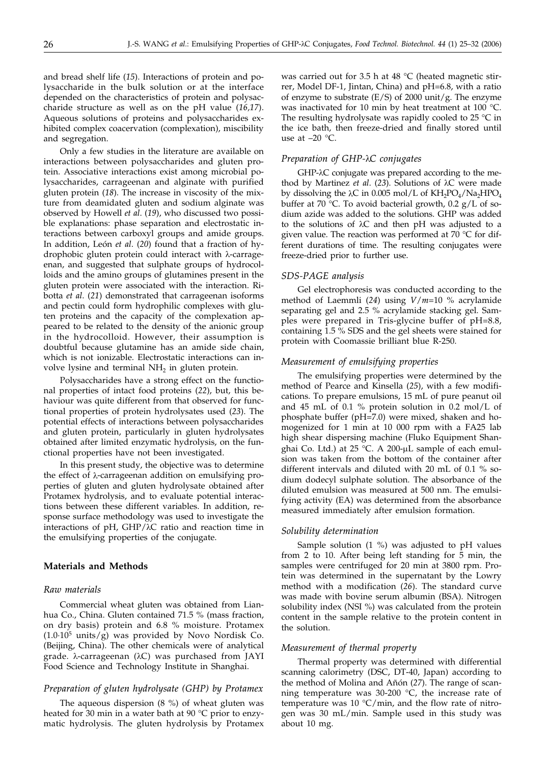and bread shelf life (*15*). Interactions of protein and polysaccharide in the bulk solution or at the interface depended on the characteristics of protein and polysaccharide structure as well as on the pH value (*16,17*). Aqueous solutions of proteins and polysaccharides exhibited complex coacervation (complexation), miscibility and segregation.

Only a few studies in the literature are available on interactions between polysaccharides and gluten protein. Associative interactions exist among microbial polysaccharides, carrageenan and alginate with purified gluten protein (*18*). The increase in viscosity of the mixture from deamidated gluten and sodium alginate was observed by Howell *et al*. (*19*), who discussed two possible explanations: phase separation and electrostatic interactions between carboxyl groups and amide groups. In addition, León *et al*. (*20*) found that a fraction of hydrophobic gluten protein could interact with  $\lambda$ -carrageenan, and suggested that sulphate groups of hydrocolloids and the amino groups of glutamines present in the gluten protein were associated with the interaction. Ribotta *et al*. (*21*) demonstrated that carrageenan isoforms and pectin could form hydrophilic complexes with gluten proteins and the capacity of the complexation appeared to be related to the density of the anionic group in the hydrocolloid. However, their assumption is doubtful because glutamine has an amide side chain, which is not ionizable. Electrostatic interactions can involve lysine and terminal  $NH<sub>2</sub>$  in gluten protein.

Polysaccharides have a strong effect on the functional properties of intact food proteins (*22*), but, this behaviour was quite different from that observed for functional properties of protein hydrolysates used (*23*). The potential effects of interactions between polysaccharides and gluten protein, particularly in gluten hydrolysates obtained after limited enzymatic hydrolysis, on the functional properties have not been investigated.

In this present study, the objective was to determine the effect of  $\lambda$ -carrageenan addition on emulsifying properties of gluten and gluten hydrolysate obtained after Protamex hydrolysis, and to evaluate potential interactions between these different variables. In addition, response surface methodology was used to investigate the interactions of pH,  $GHP/\lambda C$  ratio and reaction time in the emulsifying properties of the conjugate.

### **Materials and Methods**

### *Raw materials*

Commercial wheat gluten was obtained from Lianhua Co., China. Gluten contained 71.5 % (mass fraction, on dry basis) protein and 6.8 % moisture. Protamex  $(1.0.10<sup>5</sup> units/g)$  was provided by Novo Nordisk Co. (Beijing, China). The other chemicals were of analytical grade. λ-carrageenan (λC) was purchased from JAYI Food Science and Technology Institute in Shanghai.

### *Preparation of gluten hydrolysate (GHP) by Protamex*

The aqueous dispersion (8 %) of wheat gluten was heated for 30 min in a water bath at 90 °C prior to enzymatic hydrolysis. The gluten hydrolysis by Protamex

was carried out for 3.5 h at 48 °C (heated magnetic stirrer, Model DF-1, Jintan, China) and pH=6.8, with a ratio of enzyme to substrate  $(E/S)$  of 2000 unit/g. The enzyme was inactivated for 10 min by heat treatment at 100 °C. The resulting hydrolysate was rapidly cooled to  $25 \degree C$  in the ice bath, then freeze-dried and finally stored until use at  $-20$  °C.

### *Preparation of GHP-C conjugates*

GHP- $\lambda$ C conjugate was prepared according to the method by Martinez *et al.* (23). Solutions of λC were made by dissolving the  $\lambda$ C in 0.005 mol/L of KH<sub>2</sub>PO<sub>4</sub>/Na<sub>2</sub>HPO<sub>4</sub> buffer at 70 °C. To avoid bacterial growth, 0.2 g/L of sodium azide was added to the solutions. GHP was added to the solutions of  $\lambda C$  and then pH was adjusted to a given value. The reaction was performed at 70  $\degree$ C for different durations of time. The resulting conjugates were freeze-dried prior to further use.

### *SDS-PAGE analysis*

Gel electrophoresis was conducted according to the method of Laemmli (*24*) using *V*/*m*=10 % acrylamide separating gel and 2.5 % acrylamide stacking gel. Samples were prepared in Tris-glycine buffer of pH=8.8, containing 1.5 % SDS and the gel sheets were stained for protein with Coomassie brilliant blue R-250.

### *Measurement of emulsifying properties*

The emulsifying properties were determined by the method of Pearce and Kinsella (*25*), with a few modifications. To prepare emulsions, 15 mL of pure peanut oil and 45 mL of 0.1 % protein solution in 0.2 mol/L of phosphate buffer (pH=7.0) were mixed, shaken and homogenized for 1 min at 10 000 rpm with a FA25 lab high shear dispersing machine (Fluko Equipment Shanghai Co. Ltd.) at 25 °C. A 200-µL sample of each emulsion was taken from the bottom of the container after different intervals and diluted with 20 mL of 0.1 % sodium dodecyl sulphate solution. The absorbance of the diluted emulsion was measured at 500 nm. The emulsifying activity (EA) was determined from the absorbance measured immediately after emulsion formation.

#### *Solubility determination*

Sample solution (1 %) was adjusted to pH values from 2 to 10. After being left standing for 5 min, the samples were centrifuged for 20 min at 3800 rpm. Protein was determined in the supernatant by the Lowry method with a modification (*26*). The standard curve was made with bovine serum albumin (BSA). Nitrogen solubility index (NSI %) was calculated from the protein content in the sample relative to the protein content in the solution.

#### *Measurement of thermal property*

Thermal property was determined with differential scanning calorimetry (DSC, DT-40, Japan) according to the method of Molina and Añón (*27*). The range of scanning temperature was 30-200  $^{\circ}$ C, the increase rate of temperature was 10  $\mathrm{C/min}$ , and the flow rate of nitrogen was 30 mL/min. Sample used in this study was about 10 mg.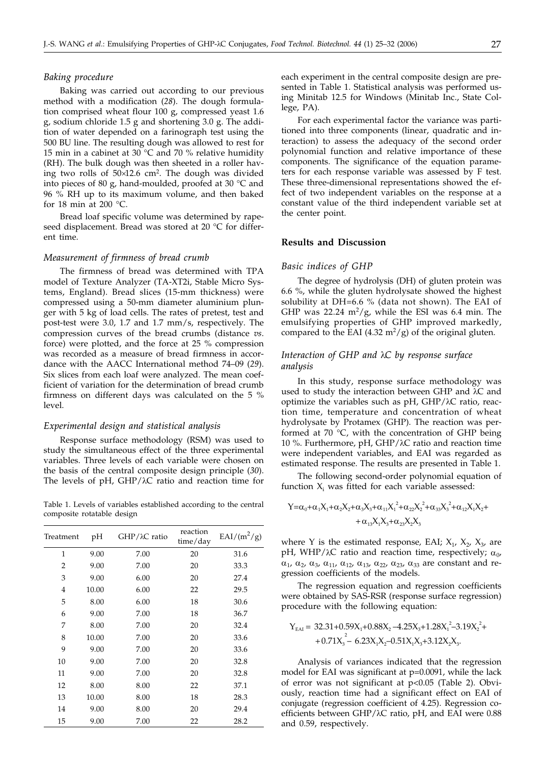#### *Baking procedure*

Baking was carried out according to our previous method with a modification (*28*). The dough formulation comprised wheat flour 100 g, compressed yeast 1.6 g, sodium chloride 1.5 g and shortening 3.0 g. The addition of water depended on a farinograph test using the 500 BU line. The resulting dough was allowed to rest for 15 min in a cabinet at 30  $^{\circ}$ C and 70 % relative humidity (RH). The bulk dough was then sheeted in a roller having two rolls of  $50\times12.6$  cm<sup>2</sup>. The dough was divided into pieces of 80 g, hand-moulded, proofed at 30 °C and 96 % RH up to its maximum volume, and then baked for 18 min at 200 °C.

Bread loaf specific volume was determined by rapeseed displacement. Bread was stored at 20 °C for different time.

#### *Measurement of firmness of bread crumb*

The firmness of bread was determined with TPA model of Texture Analyzer (TA-XT2i, Stable Micro Systems, England). Bread slices (15-mm thickness) were compressed using a 50-mm diameter aluminium plunger with 5 kg of load cells. The rates of pretest, test and post-test were 3.0, 1.7 and 1.7 mm/s, respectively. The compression curves of the bread crumbs (distance *vs*. force) were plotted, and the force at 25 % compression was recorded as a measure of bread firmness in accordance with the AACC International method 74–09 (*29*). Six slices from each loaf were analyzed. The mean coefficient of variation for the determination of bread crumb firmness on different days was calculated on the 5 % level.

#### *Experimental design and statistical analysis*

Response surface methodology (RSM) was used to study the simultaneous effect of the three experimental variables. Three levels of each variable were chosen on the basis of the central composite design principle (*30*). The levels of  $pH$ ,  $GHP/\lambda C$  ratio and reaction time for

Table 1. Levels of variables established according to the central composite rotatable design

| Treatment      | pH    | $GHP/\lambda C$ ratio | reaction<br>time/day | $EAI/(m^2/g)$ |
|----------------|-------|-----------------------|----------------------|---------------|
| $\mathbf{1}$   | 9.00  | 7.00                  | 20                   | 31.6          |
| $\overline{2}$ | 9.00  | 7.00                  | 20                   | 33.3          |
| 3              | 9.00  | 6.00                  | 20                   | 27.4          |
| 4              | 10.00 | 6.00                  | 22                   | 29.5          |
| 5              | 8.00  | 6.00                  | 18                   | 30.6          |
| 6              | 9.00  | 7.00                  | 18                   | 36.7          |
| 7              | 8.00  | 7.00                  | 20                   | 32.4          |
| 8              | 10.00 | 7.00                  | 20                   | 33.6          |
| 9              | 9.00  | 7.00                  | 20                   | 33.6          |
| 10             | 9.00  | 7.00                  | 20                   | 32.8          |
| 11             | 9.00  | 7.00                  | 20                   | 32.8          |
| 12             | 8.00  | 8.00                  | 22                   | 37.1          |
| 13             | 10.00 | 8.00                  | 18                   | 28.3          |
| 14             | 9.00  | 8.00                  | 20                   | 29.4          |
| 15             | 9.00  | 7.00                  | 22                   | 28.2          |

each experiment in the central composite design are presented in Table 1. Statistical analysis was performed using Minitab 12.5 for Windows (Minitab Inc., State College, PA).

For each experimental factor the variance was partitioned into three components (linear, quadratic and interaction) to assess the adequacy of the second order polynomial function and relative importance of these components. The significance of the equation parameters for each response variable was assessed by F test. These three-dimensional representations showed the effect of two independent variables on the response at a constant value of the third independent variable set at the center point.

### **Results and Discussion**

### *Basic indices of GHP*

The degree of hydrolysis (DH) of gluten protein was 6.6 %, while the gluten hydrolysate showed the highest solubility at DH=6.6 % (data not shown). The EAI of GHP was 22.24  $m^2/g$ , while the ESI was 6.4 min. The emulsifying properties of GHP improved markedly, compared to the EAI (4.32  $m^2/g$ ) of the original gluten.

### *Interaction of GHP and C by response surface analysis*

In this study, response surface methodology was used to study the interaction between GHP and  $\lambda$ C and optimize the variables such as  $pH$ ,  $GHP/\lambda C$  ratio, reaction time, temperature and concentration of wheat hydrolysate by Protamex (GHP). The reaction was performed at 70 °C, with the concentration of GHP being 10 %. Furthermore, pH, GHP/ $\lambda$ C ratio and reaction time were independent variables, and EAI was regarded as estimated response. The results are presented in Table 1.

The following second-order polynomial equation of function  $X_i$  was fitted for each variable assessed:

$$
\begin{aligned} Y=&\alpha_0+\alpha_1X_1+\alpha_2X_2+\alpha_3X_3+\alpha_{11}X_1^2+\alpha_{22}X_2^2+\alpha_{33}X_3^2+\alpha_{12}X_1X_2+\\ &+\alpha_{13}X_1X_3+\alpha_{23}X_2X_3 \end{aligned}
$$

where Y is the estimated response, EAI;  $X_1$ ,  $X_2$ ,  $X_3$ , are pH, WHP/ $\lambda$ C ratio and reaction time, respectively;  $\alpha_0$ ,  $\alpha_1$ ,  $\alpha_2$ ,  $\alpha_3$ ,  $\alpha_{11}$ ,  $\alpha_{12}$ ,  $\alpha_{13}$ ,  $\alpha_{22}$ ,  $\alpha_{23}$ ,  $\alpha_{33}$  are constant and regression coefficients of the models.

The regression equation and regression coefficients were obtained by SAS-RSR (response surface regression) procedure with the following equation:

$$
Y_{EAI} = 32.31 + 0.59X_1 + 0.88X_2 - 4.25X_3 + 1.28X_1^2 - 3.19X_2^2 + 0.71X_3^2 - 6.23X_1X_2 - 0.51X_1X_3 + 3.12X_2X_3.
$$

Analysis of variances indicated that the regression model for EAI was significant at p=0.0091, while the lack of error was not significant at p<0.05 (Table 2). Obviously, reaction time had a significant effect on EAI of conjugate (regression coefficient of 4.25). Regression coefficients between GHP/ $\lambda$ C ratio, pH, and EAI were 0.88 and 0.59, respectively.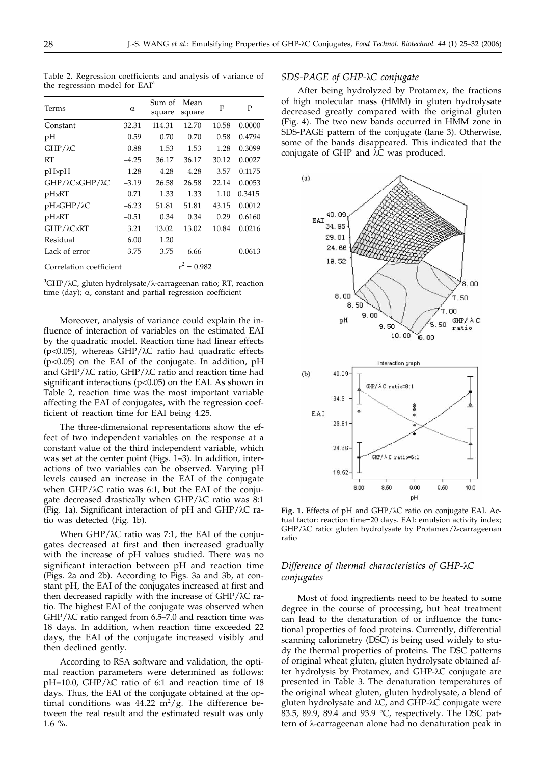Terms  $\alpha$  Sum of square Mean square F P Constant 32.31 114.31 12.70 10.58 0.0000 pH 0.59 0.70 0.70 0.58 0.4794 GHP/λC 0.88 1.53 1.53 1.28 0.3099 RT –4.25 36.17 36.17 30.12 0.0027 pH×pH 1.28 4.28 4.28 3.57 0.1175 GHP/λC×GHP/λC -3.19 26.58 26.58 22.14 0.0053 pHRT 0.71 1.33 1.33 1.10 0.3415 pH×GHP/ $\lambda$ C –6.23 51.81 51.81 43.15 0.0012 pHRT –0.51 0.34 0.34 0.29 0.6160

Table 2. Regression coefficients and analysis of variance of the regression model for EAI<sup>a</sup>

|                                                                    | <sup>a</sup> GHP/λC, gluten hydrolysate/λ-carrageenan ratio; RT, reaction |
|--------------------------------------------------------------------|---------------------------------------------------------------------------|
| time (day); $\alpha$ , constant and partial regression coefficient |                                                                           |

GHP/λC×RT 3.21 13.02 13.02 10.84 0.0216

Lack of error 3.75 3.75 6.66 0.0613

Residual 6.00 1.20

Correlation coefficient  $r^2 = 0.982$ 

Moreover, analysis of variance could explain the influence of interaction of variables on the estimated EAI by the quadratic model. Reaction time had linear effects ( $p$ <0.05), whereas GHP/ $\lambda$ C ratio had quadratic effects (p<0.05) on the EAI of the conjugate. In addition, pH and  $GHP/\lambda C$  ratio,  $GHP/\lambda C$  ratio and reaction time had significant interactions (p<0.05) on the EAI. As shown in Table 2, reaction time was the most important variable affecting the EAI of conjugates, with the regression coefficient of reaction time for EAI being 4.25.

The three-dimensional representations show the effect of two independent variables on the response at a constant value of the third independent variable, which was set at the center point (Figs. 1–3). In addition, interactions of two variables can be observed. Varying pH levels caused an increase in the EAI of the conjugate when  $GHP/\lambda C$  ratio was 6:1, but the EAI of the conjugate decreased drastically when  $GHP/\lambda C$  ratio was  $8:1$ (Fig. 1a). Significant interaction of pH and  $GHP/\lambda C$  ratio was detected (Fig. 1b).

When  $GHP/\lambda C$  ratio was 7:1, the EAI of the conjugates decreased at first and then increased gradually with the increase of pH values studied. There was no significant interaction between pH and reaction time (Figs. 2a and 2b). According to Figs. 3a and 3b, at constant pH, the EAI of the conjugates increased at first and then decreased rapidly with the increase of  $GHP/\lambda C$  ratio. The highest EAI of the conjugate was observed when  $GHP/\lambda C$  ratio ranged from 6.5–7.0 and reaction time was 18 days. In addition, when reaction time exceeded 22 days, the EAI of the conjugate increased visibly and then declined gently.

According to RSA software and validation, the optimal reaction parameters were determined as follows:  $pH=10.0$ ,  $GHP/\lambda C$  ratio of 6:1 and reaction time of 18 days. Thus, the EAI of the conjugate obtained at the optimal conditions was  $44.22 \text{ m}^2/\text{g}$ . The difference between the real result and the estimated result was only  $1.6 \%$ 

### *SDS-PAGE of GHP-C conjugate*

After being hydrolyzed by Protamex, the fractions of high molecular mass (HMM) in gluten hydrolysate decreased greatly compared with the original gluten (Fig. 4). The two new bands occurred in HMM zone in SDS-PAGE pattern of the conjugate (lane 3). Otherwise, some of the bands disappeared. This indicated that the conjugate of GHP and  $\lambda$ C was produced.



Fig. 1. Effects of pH and GHP/ $λ$ C ratio on conjugate EAI. Actual factor: reaction time=20 days. EAI: emulsion activity index;  $GHP/\lambda C$  ratio: gluten hydrolysate by Protamex/ $\lambda$ -carrageenan ratio

### *Difference of thermal characteristics of GHP-C conjugates*

Most of food ingredients need to be heated to some degree in the course of processing, but heat treatment can lead to the denaturation of or influence the functional properties of food proteins. Currently, differential scanning calorimetry (DSC) is being used widely to study the thermal properties of proteins. The DSC patterns of original wheat gluten, gluten hydrolysate obtained after hydrolysis by Protamex, and GHP-AC conjugate are presented in Table 3. The denaturation temperatures of the original wheat gluten, gluten hydrolysate, a blend of gluten hydrolysate and  $\lambda C$ , and GHP- $\lambda C$  conjugate were 83.5, 89.9, 89.4 and 93.9 °C, respectively. The DSC pattern of  $\lambda$ -carrageenan alone had no denaturation peak in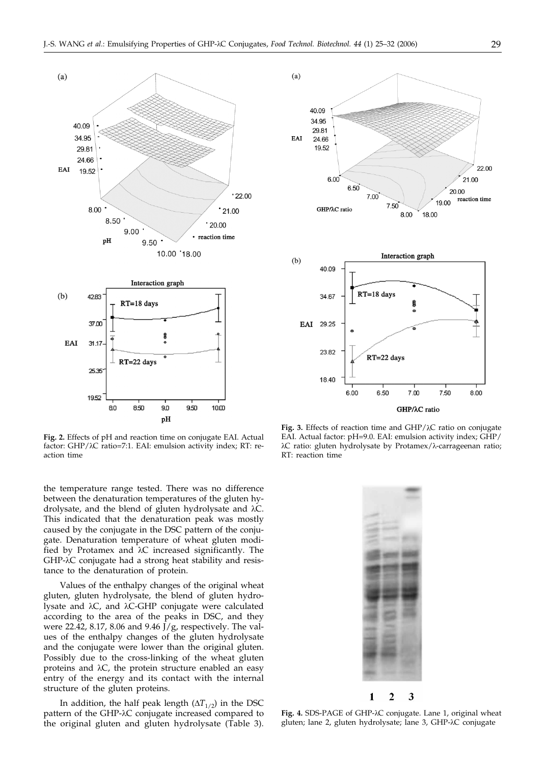

**Fig. 2.** Effects of pH and reaction time on conjugate EAI. Actual factor:  $GHP/\lambda C$  ratio=7:1. EAI: emulsion activity index; RT: reaction time

the temperature range tested. There was no difference between the denaturation temperatures of the gluten hydrolysate, and the blend of gluten hydrolysate and  $\lambda C$ . This indicated that the denaturation peak was mostly caused by the conjugate in the DSC pattern of the conjugate. Denaturation temperature of wheat gluten modified by Protamex and  $\lambda$ C increased significantly. The GHP- $\lambda$ C conjugate had a strong heat stability and resistance to the denaturation of protein.

Values of the enthalpy changes of the original wheat gluten, gluten hydrolysate, the blend of gluten hydrolysate and  $\lambda C$ , and  $\lambda C$ -GHP conjugate were calculated according to the area of the peaks in DSC, and they were 22.42, 8.17, 8.06 and 9.46 J/g, respectively. The values of the enthalpy changes of the gluten hydrolysate and the conjugate were lower than the original gluten. Possibly due to the cross-linking of the wheat gluten proteins and  $\lambda C$ , the protein structure enabled an easy entry of the energy and its contact with the internal structure of the gluten proteins.

In addition, the half peak length  $(\Delta T_{1/2})$  in the DSC pattern of the GHP- $\lambda$ C conjugate increased compared to the original gluten and gluten hydrolysate (Table 3).



Fig. 3. Effects of reaction time and GHP/ $\lambda$ C ratio on conjugate EAI. Actual factor: pH=9.0. EAI: emulsion activity index; GHP/  $\lambda$ C ratio: gluten hydrolysate by Protamex/ $\lambda$ -carrageenan ratio; RT: reaction time



Fig. 4. SDS-PAGE of GHP- $\lambda$ C conjugate. Lane 1, original wheat gluten; lane 2, gluten hydrolysate; lane 3, GHP-AC conjugate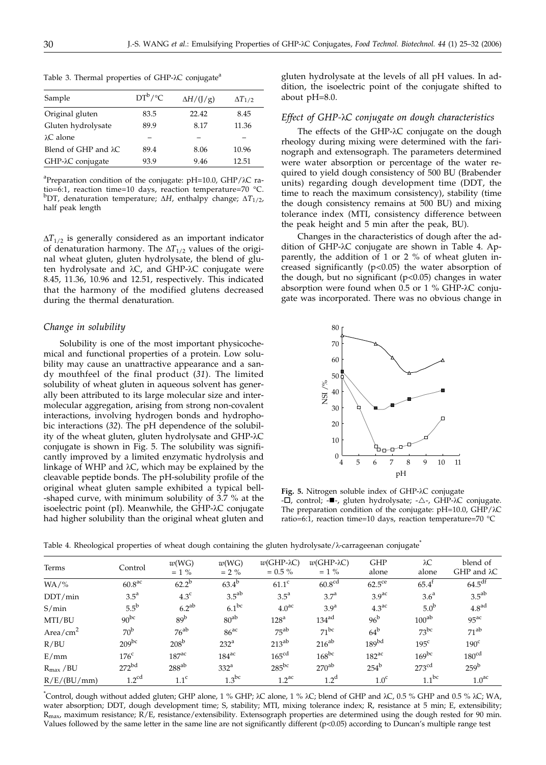|  |  |  | Table 3. Thermal properties of GHP-AC conjugate <sup>a</sup> |
|--|--|--|--------------------------------------------------------------|
|  |  |  |                                                              |

| Sample                       | $DT^b$ /°C | $\Delta H/(\frac{1}{g})$ | $\Delta T_{1/2}$ |
|------------------------------|------------|--------------------------|------------------|
| Original gluten              | 83.5       | 22.42                    | 8.45             |
| Gluten hydrolysate           | 89.9       | 8.17                     | 11.36            |
| $\lambda$ C alone            |            |                          |                  |
| Blend of GHP and $\lambda$ C | 89.4       | 8.06                     | 10.96            |
| GHP-λC conjugate             | 93.9       | 9.46                     | 12.51            |

<sup>a</sup>Preparation condition of the conjugate: pH=10.0, GHP/ $\lambda$ C ratio=6:1, reaction time=10 days, reaction temperature=70 °C. b DT, denaturation temperature; *H*, enthalpy change; *T*1/2, half peak length

 $\Delta T_{1/2}$  is generally considered as an important indicator of denaturation harmony. The  $\Delta T_{1/2}$  values of the original wheat gluten, gluten hydrolysate, the blend of gluten hydrolysate and  $\lambda C$ , and GHP- $\lambda C$  conjugate were 8.45, 11.36, 10.96 and 12.51, respectively. This indicated that the harmony of the modified glutens decreased during the thermal denaturation.

#### *Change in solubility*

Solubility is one of the most important physicochemical and functional properties of a protein. Low solubility may cause an unattractive appearance and a sandy mouthfeel of the final product (*31*). The limited solubility of wheat gluten in aqueous solvent has generally been attributed to its large molecular size and intermolecular aggregation, arising from strong non-covalent interactions, involving hydrogen bonds and hydrophobic interactions (*32*). The pH dependence of the solubility of the wheat gluten, gluten hydrolysate and GHP- $\lambda$ C conjugate is shown in Fig. 5. The solubility was significantly improved by a limited enzymatic hydrolysis and linkage of WHP and  $\lambda$ C, which may be explained by the cleavable peptide bonds. The pH-solubility profile of the original wheat gluten sample exhibited a typical bell- -shaped curve, with minimum solubility of 3.7 % at the isoelectric point (pI). Meanwhile, the GHP-λC conjugate had higher solubility than the original wheat gluten and

gluten hydrolysate at the levels of all pH values. In addition, the isoelectric point of the conjugate shifted to about pH=8.0.

### *Effect of GHP-C conjugate on dough characteristics*

The effects of the GHP- $\lambda$ C conjugate on the dough rheology during mixing were determined with the farinograph and extensograph. The parameters determined were water absorption or percentage of the water required to yield dough consistency of 500 BU (Brabender units) regarding dough development time (DDT, the time to reach the maximum consistency), stability (time the dough consistency remains at 500 BU) and mixing tolerance index (MTI, consistency difference between the peak height and 5 min after the peak, BU).

Changes in the characteristics of dough after the addition of GHP-λC conjugate are shown in Table 4. Apparently, the addition of 1 or 2 % of wheat gluten increased significantly  $(p<0.05)$  the water absorption of the dough, but no significant  $(p<0.05)$  changes in water absorption were found when  $0.5$  or  $1\%$  GHP- $\lambda$ C conjugate was incorporated. There was no obvious change in



Fig. 5. Nitrogen soluble index of GHP- $\lambda$ C conjugate - $\overline{\Box}$ , control; - $\blacksquare$ -, gluten hydrolysate; - $\triangle$ -, GHP- $\lambda$ C conjugate. The preparation condition of the conjugate:  $pH=10.0$ ,  $GHP/\lambda C$ ratio=6:1, reaction time=10 days, reaction temperature=70 °C

Table 4. Rheological properties of wheat dough containing the gluten hydrolysate/ $\lambda$ -carrageenan conjugate

| Terms                 | Control            | w(WG)<br>$= 1 \%$ | w(WG)<br>$= 2\%$    | $w(GHP-AC)$<br>$= 0.5 \%$ | $w(GHP-AC)$<br>$= 1\%$ | <b>GHP</b><br>alone | $\lambda C$<br>alone | blend of<br>$GHP$ and $\lambda C$ |
|-----------------------|--------------------|-------------------|---------------------|---------------------------|------------------------|---------------------|----------------------|-----------------------------------|
| $WA/$ %               | 60.8 <sup>ac</sup> | $62.2^{b}$        | $63.4^{b}$          | $61.1^{\circ}$            | 60.8 <sup>cd</sup>     | $62.5^{\text{ce}}$  | $65.4^{\mathrm{t}}$  | $64.5$ <sup>df</sup>              |
| DDT/min               | $3.5^{\circ}$      | 4.3 <sup>c</sup>  | $3.5^{ab}$          | $3.5^{\circ}$             | 3.7 <sup>a</sup>       | 3.9 <sup>ac</sup>   | 3.6 <sup>a</sup>     | 3.5 <sup>ab</sup>                 |
| S/min                 | $5.5^{b}$          | $6.2^{ab}$        | $6.1^{bc}$          | 4.0 <sup>ac</sup>         | 3.9 <sup>a</sup>       | 4.3 <sup>ac</sup>   | $5.0^{b}$            | 4.8 <sup>ad</sup>                 |
| MTI/BU                | $90^{bc}$          | 89 <sup>b</sup>   | $80^{ab}$           | 128 <sup>a</sup>          | 134 <sup>ad</sup>      | $96^{\rm b}$        | 100 <sup>ab</sup>    | 95 <sup>ac</sup>                  |
| Area/ $\text{cm}^2$   | 70 <sup>b</sup>    | $76^{ab}$         | 86 <sup>ac</sup>    | $75^{ab}$                 | $71^{bc}$              | $64^{\rm b}$        | $73^{bc}$            | $71^{ab}$                         |
| R/BU                  | $209^{bc}$         | $208^{\rm b}$     | $232^{\mathrm{a}}$  | $213^{ab}$                | $216^{ab}$             | 189 <sup>bd</sup>   | $195^{\circ}$        | $190^{\circ}$                     |
| E/mm                  | 176 <sup>c</sup>   | 187 <sup>ac</sup> | $184$ <sup>ac</sup> | 165 <sup>cd</sup>         | $168^{bc}$             | 182 <sup>ac</sup>   | $169^{bc}$           | 180 <sup>cd</sup>                 |
| $R_{\text{max}}$ / BU | 272 <sup>bd</sup>  | $288^{ab}$        | 332 <sup>a</sup>    | $285^{bc}$                | $270^{ab}$             | $254^b$             | 273 <sup>cd</sup>    | 259 <sup>b</sup>                  |
| R/E/(BU/mm)           | 1.2 <sup>cd</sup>  | 1.1 <sup>c</sup>  | $1.3$ bc            | 1.2 <sup>ac</sup>         | 1.2 <sup>d</sup>       | 1.0 <sup>c</sup>    | $1.1^{bc}$           | 1.0 <sup>ac</sup>                 |

\*Control, dough without added gluten; GHP alone, 1 % GHP; λC alone, 1 % λC; blend of GHP and λC, 0.5 % GHP and 0.5 % λC; WA, water absorption; DDT, dough development time; S, stability; MTI, mixing tolerance index; R, resistance at 5 min; E, extensibility;  $R_{\text{max}}$ , maximum resistance;  $\overline{R}/E$ , resistance/extensibility. Extensograph properties are determined using the dough rested for 90 min. Values followed by the same letter in the same line are not significantly different (p<0.05) according to Duncan's multiple range test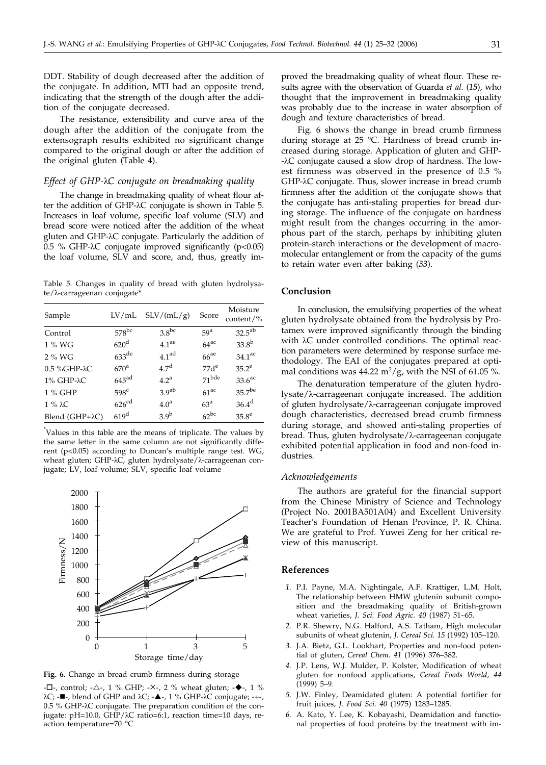DDT. Stability of dough decreased after the addition of the conjugate. In addition, MTI had an opposite trend, indicating that the strength of the dough after the addition of the conjugate decreased.

The resistance, extensibility and curve area of the dough after the addition of the conjugate from the extensograph results exhibited no significant change compared to the original dough or after the addition of the original gluten (Table 4).

### *Effect of GHP-C conjugate on breadmaking quality*

The change in breadmaking quality of wheat flour after the addition of GHP- $\lambda$ C conjugate is shown in Table 5. Increases in loaf volume, specific loaf volume (SLV) and bread score were noticed after the addition of the wheat gluten and GHP- $\lambda$ C conjugate. Particularly the addition of 0.5 % GHP- $\lambda$ C conjugate improved significantly (p<0.05) the loaf volume, SLV and score, and, thus, greatly im-

Table 5. Changes in quality of bread with gluten hydrolysa $te/\lambda$ -carrageenan conjugate\*

| Sample                  | LV/mL               | SLV/(mL/g)        | Score              | Moisture<br>content/ $%$ |
|-------------------------|---------------------|-------------------|--------------------|--------------------------|
| Control                 | $578$ bc            | $3.8^{bc}$        | 59 <sup>a</sup>    | $32.5^{ab}$              |
| 1 % WG                  | 620 <sup>d</sup>    | 4.1 <sup>ae</sup> | $64$ <sup>ac</sup> | 33.8 <sup>b</sup>        |
| 2 % WG                  | $633$ <sup>de</sup> | 4.1 <sup>ad</sup> | $66^{ae}$          | $34.1^\text{ac}$         |
| 0.5 %GHP-λC             | $670^{\mathrm{a}}$  | 4.7 <sup>d</sup>  | $77d^e$            | $35.2^e$                 |
| 1% GHP-λC               | $645$ <sup>ad</sup> | 4.2 <sup>a</sup>  | $71$ bde           | 33.6 <sup>ac</sup>       |
| 1 % GHP                 | 598 <sup>c</sup>    | 3.9 <sup>ab</sup> | $61^{ac}$          | 35.7 <sup>be</sup>       |
| $1\% \lambda C$         | 626 <sup>cd</sup>   | 4.0 <sup>a</sup>  | 63 <sup>a</sup>    | 36.4 <sup>d</sup>        |
| Blend $(GHP+\lambda C)$ | 619 <sup>d</sup>    | 3.9 <sup>b</sup>  | $62^{bc}$          | 35.8 <sup>e</sup>        |

\* Values in this table are the means of triplicate. The values by the same letter in the same column are not significantly different (p<0.05) according to Duncan's multiple range test. WG, wheat gluten; GHP- $\lambda$ C, gluten hydrolysate/ $\lambda$ -carrageenan conjugate; LV, loaf volume; SLV, specific loaf volume



**Fig. 6.** Change in bread crumb firmness during storage

 $-L$ -, control;  $-\Delta$ -, 1 % GHP; -X-, 2 % wheat gluten;  $-\blacklozenge$ -, 1 %  $\lambda C$ ; - $\blacksquare$ -, blend of GHP and  $\lambda C$ ; - $\blacktriangle$ -, 1 % GHP- $\lambda C$  conjugate; -+-, 0.5 % GHP- $\lambda$ C conjugate. The preparation condition of the conjugate: pH=10.0, GHP/ $\lambda$ C ratio=6:1, reaction time=10 days, reaction temperature=70 °C

proved the breadmaking quality of wheat flour. These results agree with the observation of Guarda *et al*. (*15*), who thought that the improvement in breadmaking quality was probably due to the increase in water absorption of dough and texture characteristics of bread.

Fig. 6 shows the change in bread crumb firmness during storage at 25 °C. Hardness of bread crumb increased during storage. Application of gluten and GHP- -C conjugate caused a slow drop of hardness. The lowest firmness was observed in the presence of 0.5 % GHP-C conjugate. Thus, slower increase in bread crumb firmness after the addition of the conjugate shows that the conjugate has anti-staling properties for bread during storage. The influence of the conjugate on hardness might result from the changes occurring in the amorphous part of the starch, perhaps by inhibiting gluten protein-starch interactions or the development of macromolecular entanglement or from the capacity of the gums to retain water even after baking (*33*).

### **Conclusion**

In conclusion, the emulsifying properties of the wheat gluten hydrolysate obtained from the hydrolysis by Protamex were improved significantly through the binding with  $\lambda C$  under controlled conditions. The optimal reaction parameters were determined by response surface methodology. The EAI of the conjugates prepared at optimal conditions was  $44.22 \text{ m}^2/\text{g}$ , with the NSI of 61.05 %.

The denaturation temperature of the gluten hydro $lysate/\lambda$ -carrageenan conjugate increased. The addition of gluten hydrolysate/ $\lambda$ -carrageenan conjugate improved dough characteristics, decreased bread crumb firmness during storage, and showed anti-staling properties of bread. Thus, gluten hydrolysate/λ-carrageenan conjugate exhibited potential application in food and non-food industries.

#### *Acknowledgements*

The authors are grateful for the financial support from the Chinese Ministry of Science and Technology (Project No. 2001BA501A04) and Excellent University Teacher's Foundation of Henan Province, P. R. China. We are grateful to Prof. Yuwei Zeng for her critical review of this manuscript.

#### **References**

- *1.* P.I. Payne, M.A. Nightingale, A.F. Krattiger, L.M. Holt, The relationship between HMW glutenin subunit composition and the breadmaking quality of British-grown wheat varieties, *J. Sci. Food Agric. 40* (1987) 51–65.
- *2.* P.R. Shewry, N.G. Halford, A.S. Tatham, High molecular subunits of wheat glutenin, *J. Cereal Sci.* 15 (1992) 105-120.
- *3.* J.A. Bietz, G.L. Lookhart, Properties and non-food potential of gluten, *Cereal Chem. 41* (1996) 376–382.
- *4.* J.P. Lens, W.J. Mulder, P. Kolster, Modification of wheat gluten for nonfood applications, *Cereal Foods World, 44* (1999) 5–9.
- *5.* J.W. Finley, Deamidated gluten: A potential fortifier for fruit juices, *J. Food Sci. 40* (1975) 1283–1285.
- *6.* A. Kato, Y. Lee, K. Kobayashi, Deamidation and functional properties of food proteins by the treatment with im-